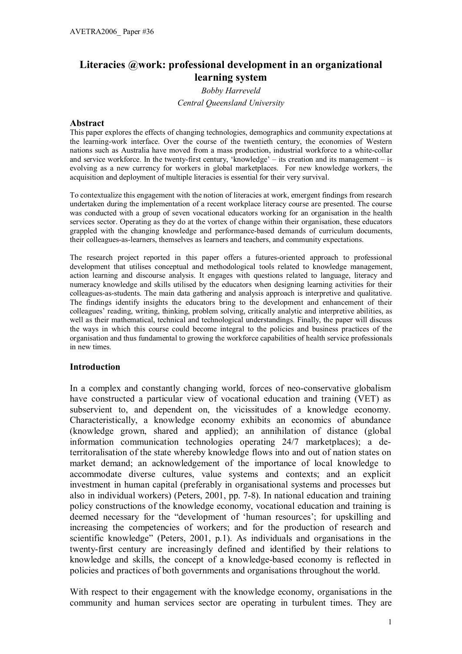# **Literacies @work: professional development in an organizational learning system**

## *Bobby Harreveld Central Queensland University*

#### **Abstract**

This paper explores the effects of changing technologies, demographics and community expectations at the learning-work interface. Over the course of the twentieth century, the economies of Western nations such as Australia have moved from a mass production, industrial workforce to a whitecollar and service workforce. In the twenty-first century, 'knowledge' – its creation and its management – is evolving as a new currency for workers in global marketplaces. For new knowledge workers, the acquisition and deployment of multiple literacies is essential for their very survival.

To contextualize this engagement with the notion of literacies at work, emergent findings from research undertaken during the implementation of a recent workplace literacy course are presented. The course was conducted with a group of seven vocational educators working for an organisation in the health services sector. Operating as they do at the vortex of change within their organisation, these educators grappled with the changing knowledge and performancebased demands of curriculum documents, their colleagues-as-learners, themselves as learners and teachers, and community expectations.

The research project reported in this paper offers a futures-oriented approach to professional development that utilises conceptual and methodological tools related to knowledge management, action learning and discourse analysis. It engages with questions related to language, literacy and numeracy knowledge and skills utilised by the educators when designing learning activities for their colleagues-as-students. The main data gathering and analysis approach is interpretive and qualitative. The findings identify insights the educators bring to the development and enhancement of their colleagues' reading, writing, thinking, problem solving, critically analytic and interpretive abilities, as well as their mathematical, technical and technological understandings. Finally, the paper will discuss the ways in which this course could become integral to the policies and business practices of the organisation and thus fundamental to growing the workforce capabilities of health service professionals in new times.

#### **Introduction**

In a complex and constantly changing world, forces of neo-conservative globalism have constructed a particular view of vocational education and training (VET) as subservient to, and dependent on, the vicissitudes of a knowledge economy. Characteristically, a knowledge economy exhibits an economics of abundance (knowledge grown, shared and applied); an annihilation of distance (global information communication technologies operating 24/7 marketplaces); a de territoralisation of the state whereby knowledge flows into and out of nation states on market demand; an acknowledgement of the importance of local knowledge to accommodate diverse cultures, value systems and contexts; and an explicit investment in human capital (preferably in organisational systems and processes but also in individual workers) (Peters, 2001, pp. 7-8). In national education and training policy constructions of the knowledge economy, vocational education and training is deemed necessary for the "development of 'human resources'; for upskilling and increasing the competencies of workers; and for the production of research and scientific knowledge" (Peters, 2001, p.1). As individuals and organisations in the twenty-first century are increasingly defined and identified by their relations to knowledge and skills, the concept of a knowledge-based economy is reflected in policies and practices of both governments and organisations throughout the world.

With respect to their engagement with the knowledge economy, organisations in the community and human services sector are operating in turbulent times. They are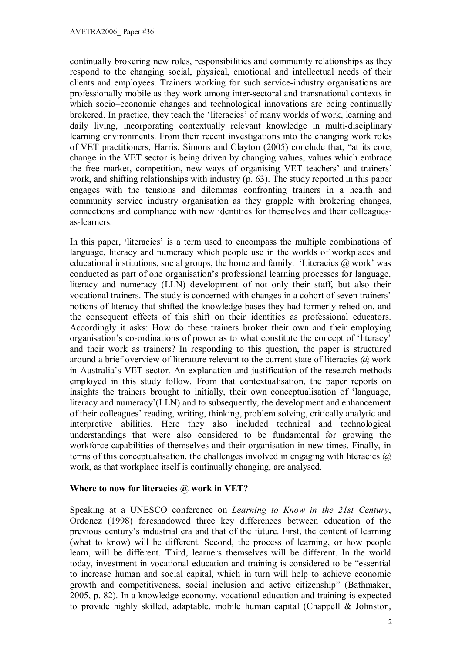continually brokering new roles, responsibilities and community relationships as they respond to the changing social, physical, emotional and intellectual needs of their clients and employees. Trainers working for such service-industry organisations are professionally mobile as they work among inter-sectoral and transnational contexts in which socio–economic changes and technological innovations are being continually brokered. In practice, they teach the 'literacies' of many worlds of work, learning and daily living, incorporating contextually relevant knowledge in multi-disciplinary learning environments. From their recent investigations into the changing work roles of VET practitioners, Harris, Simons and Clayton (2005) conclude that, "at its core, change in the VET sector is being driven by changing values, values which embrace the free market, competition, new ways of organising VET teachers' and trainers' work, and shifting relationships with industry (p. 63). The study reported in this paper engages with the tensions and dilemmas confronting trainers in a health and community service industry organisation as they grapple with brokering changes, connections and compliance with new identities for themselves and their colleagues as-learners.

In this paper, 'literacies' is a term used to encompass the multiple combinations of language, literacy and numeracy which people use in the worlds of workplaces and educational institutions, social groups, the home and family. 'Literacies  $\omega$  work' was conducted as part of one organisation's professional learning processes for language, literacy and numeracy (LLN) development of not only their staff, but also their vocational trainers. The study is concerned with changes in a cohort of seven trainers' notions of literacy that shifted the knowledge bases they had formerly relied on, and the consequent effects of this shift on their identities as professional educators. Accordingly it asks: How do these trainers broker their own and their employing organisation's co-ordinations of power as to what constitute the concept of 'literacy' and their work as trainers? In responding to this question, the paper is structured around a brief overview of literature relevant to the current state of literacies  $\omega$  work in Australia's VET sector. An explanation and justification of the research methods employed in this study follow. From that contextualisation, the paper reports on insights the trainers brought to initially, their own conceptualisation of 'language, literacy and numeracy'(LLN) and to subsequently, the development and enhancement of their colleagues' reading, writing, thinking, problem solving, critically analytic and interpretive abilities. Here they also included technical and technological understandings that were also considered to be fundamental for growing the workforce capabilities of themselves and their organisation in new times. Finally, in terms of this conceptualisation, the challenges involved in engaging with literacies  $\omega$ work, as that workplace itself is continually changing, are analysed.

## **Where to now for literacies @ work in VET?**

Speaking at a UNESCO conference on *Learning to Know in the 21st Century*, Ordonez (1998) foreshadowed three key differences between education of the previous century's industrial era and that of the future. First, the content of learning (what to know) will be different. Second, the process of learning, or how people learn, will be different. Third, learners themselves will be different. In the world today, investment in vocational education and training is considered to be "essential to increase human and social capital, which in turn will help to achieve economic growth and competitiveness, social inclusion and active citizenship" (Bathmaker, 2005, p. 82). In a knowledge economy, vocational education and training is expected to provide highly skilled, adaptable, mobile human capital (Chappell & Johnston,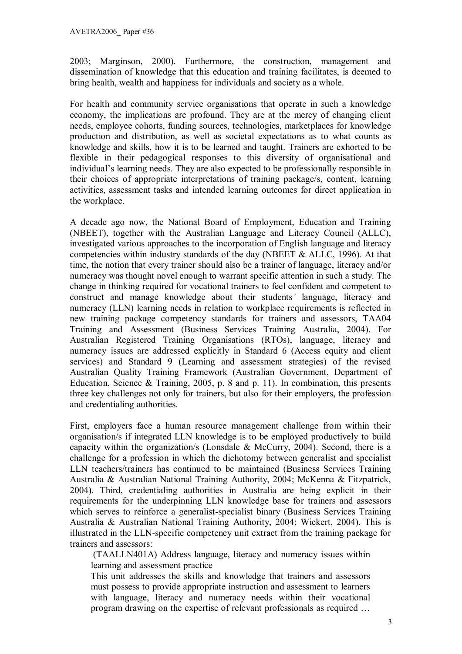2003; Marginson, 2000). Furthermore, the construction, management and dissemination of knowledge that this education and training facilitates, is deemed to bring health, wealth and happiness for individuals and society as a whole.

For health and community service organisations that operate in such a knowledge economy, the implications are profound. They are at the mercy of changing client needs, employee cohorts, funding sources, technologies, marketplaces for knowledge production and distribution, as well as societal expectations as to what counts as knowledge and skills, how it is to be learned and taught. Trainers are exhorted to be flexible in their pedagogical responses to this diversity of organisational and individual's learning needs. They are also expected to be professionally responsible in their choices of appropriate interpretations of training package/s, content, learning activities, assessment tasks and intended learning outcomes for direct application in the workplace.

A decade ago now, the National Board of Employment, Education and Training (NBEET), together with the Australian Language and Literacy Council (ALLC), investigated various approaches to the incorporation of English language and literacy competencies within industry standards of the day (NBEET & ALLC, 1996). At that time, the notion that every trainer should also be a trainer of language, literacy and/or numeracy was thought novel enough to warrant specific attention in such a study. The change in thinking required for vocational trainers to feel confident and competent to construct and manage knowledge about their students*'* language, literacy and numeracy (LLN) learning needs in relation to workplace requirements is reflected in new training package competency standards for trainers and assessors, TAA04 Training and Assessment (Business Services Training Australia, 2004). For Australian Registered Training Organisations (RTOs), language, literacy and numeracy issues are addressed explicitly in Standard 6 (Access equity and client services) and Standard 9 (Learning and assessment strategies) of the revised Australian Quality Training Framework (Australian Government, Department of Education, Science & Training, 2005, p. 8 and p. 11). In combination, this presents three key challenges not only for trainers, but also for their employers, the profession and credentialing authorities.

First, employers face a human resource management challenge from within their organisation/s if integrated LLN knowledge is to be employed productively to build capacity within the organization/s (Lonsdale  $&$  McCurry, 2004). Second, there is a challenge for a profession in which the dichotomy between generalist and specialist LLN teachers/trainers has continued to be maintained (Business Services Training Australia & Australian National Training Authority, 2004; McKenna & Fitzpatrick, 2004). Third, credentialing authorities in Australia are being explicit in their requirements for the underpinning LLN knowledge base for trainers and assessors which serves to reinforce a generalist-specialist binary (Business Services Training Australia & Australian National Training Authority, 2004; Wickert, 2004). This is illustrated in the LLN-specific competency unit extract from the training package for trainers and assessors:

(TAALLN401A) Address language, literacy and numeracy issues within learning and assessment practice

This unit addresses the skills and knowledge that trainers and assessors must possess to provide appropriate instruction and assessment to learners with language, literacy and numeracy needs within their vocational program drawing on the expertise of relevant professionals as required …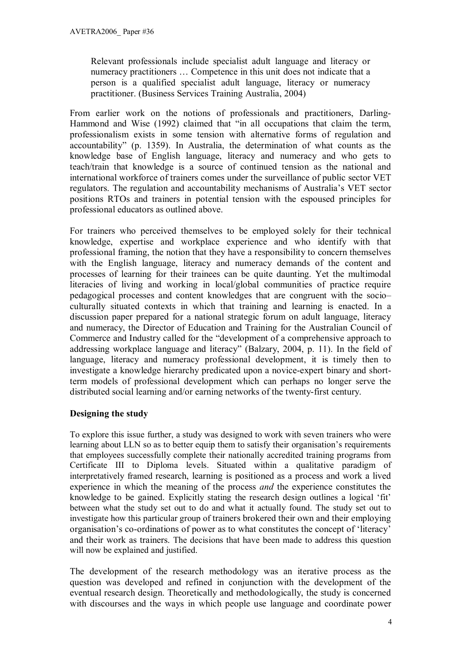Relevant professionals include specialist adult language and literacy or numeracy practitioners … Competence in this unit does not indicate that a person is a qualified specialist adult language, literacy or numeracy practitioner. (Business Services Training Australia, 2004)

From earlier work on the notions of professionals and practitioners, Darling-Hammond and Wise (1992) claimed that "in all occupations that claim the term, professionalism exists in some tension with alternative forms of regulation and accountability" (p. 1359). In Australia, the determination of what counts as the knowledge base of English language, literacy and numeracy and who gets to teach/train that knowledge is a source of continued tension as the national and international workforce of trainers comes under the surveillance of public sector VET regulators. The regulation and accountability mechanisms of Australia's VET sector positions RTOs and trainers in potential tension with the espoused principles for professional educators as outlined above.

For trainers who perceived themselves to be employed solely for their technical knowledge, expertise and workplace experience and who identify with that professional framing, the notion that they have a responsibility to concern themselves with the English language, literacy and numeracy demands of the content and processes of learning for their trainees can be quite daunting. Yet the multimodal literacies of living and working in local/global communities of practice require pedagogical processes and content knowledges that are congruent with the socio*–* culturally situated contexts in which that training and learning is enacted. In a discussion paper prepared for a national strategic forum on adult language, literacy and numeracy, the Director of Education and Training for the Australian Council of Commerce and Industry called for the "development of a comprehensive approach to addressing workplace language and literacy" (Balzary, 2004, p. 11). In the field of language, literacy and numeracy professional development, it is timely then to investigate a knowledge hierarchy predicated upon a novice-expert binary and shortterm models of professional development which can perhaps no longer serve the distributed social learning and/or earning networks of the twenty-first century.

## **Designing the study**

To explore this issue further, a study was designed to work with seven trainers who were learning about LLN so as to better equip them to satisfy their organisation's requirements that employees successfully complete their nationally accredited training programs from Certificate III to Diploma levels. Situated within a qualitative paradigm of interpretatively framed research, learning is positioned as a process and work a lived experience in which the meaning of the process *and* the experience constitutes the knowledge to be gained. Explicitly stating the research design outlines a logical 'fit' between what the study set out to do and what it actually found. The study set out to investigate how this particular group of trainers brokered their own and their employing organisation's co-ordinations of power as to what constitutes the concept of 'literacy' and their work as trainers. The decisions that have been made to address this question will now be explained and justified.

The development of the research methodology was an iterative process as the question was developed and refined in conjunction with the development of the eventual research design. Theoretically and methodologically, the study is concerned with discourses and the ways in which people use language and coordinate power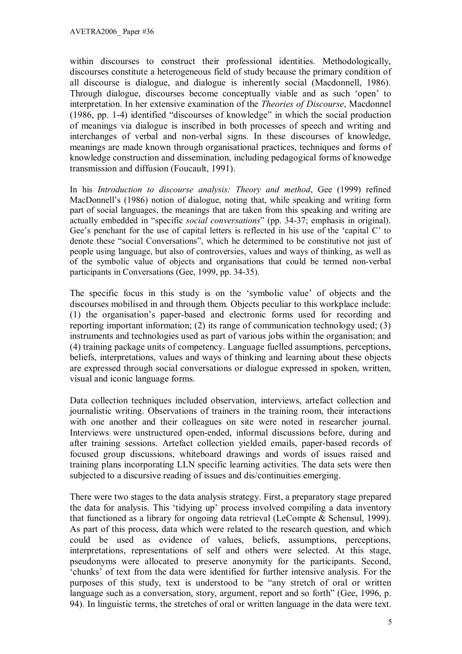within discourses to construct their professional identities. Methodologically, discourses constitute a heterogeneous field of study because the primary condition of all discourse is dialogue, and dialogue is inherently social (Macdonnell, 1986). Through dialogue, discourses become conceptually viable and as such 'open' to interpretation. In her extensive examination of the *Theories of Discourse*, Macdonnel (1986, pp. 14) identified "discourses of knowledge" in which the social production of meanings via dialogue is inscribed in both processes of speech and writing and interchanges of verbal and non-verbal signs. In these discourses of knowledge, meanings are made known through organisational practices, techniques and forms of knowledge construction and dissemination, including pedagogical forms of knowedge transmission and diffusion (Foucault, 1991).

In his *Introduction to discourse analysis: Theory and method*, Gee (1999) refined MacDonnell's (1986) notion of dialogue, noting that, while speaking and writing form part of social languages, the meanings that are taken from this speaking and writing are actually embedded in "specific *social conversations*" (pp. 3437; emphasis in original). Gee's penchant for the use of capital letters is reflected in his use of the 'capital C' to denote these "social Conversations", which he determined to be constitutive not just of people using language, but also of controversies, values and ways of thinking, as well as of the symbolic value of objects and organisations that could be termed nonverbal participants in Conversations (Gee, 1999, pp. 34-35).

The specific focus in this study is on the 'symbolic value' of objects and the discourses mobilised in and through them. Objects peculiar to this workplace include: (1) the organisation's paperbased and electronic forms used for recording and reporting important information; (2) its range of communication technology used; (3) instruments and technologies used as part of various jobs within the organisation; and (4) training package units of competency. Language fuelled assumptions, perceptions, beliefs, interpretations, values and ways of thinking and learning about these objects are expressed through social conversations or dialogue expressed in spoken, written, visual and iconic language forms.

Data collection techniques included observation, interviews, artefact collection and journalistic writing. Observations of trainers in the training room, their interactions with one another and their colleagues on site were noted in researcher journal. Interviews were unstructured open-ended, informal discussions before, during and after training sessions. Artefact collection yielded emails, paper-based records of focused group discussions, whiteboard drawings and words of issues raised and training plans incorporating LLN specific learning activities. The data sets were then subjected to a discursive reading of issues and dis/continuities emerging.

There were two stages to the data analysis strategy. First, a preparatory stage prepared the data for analysis. This 'tidying up' process involved compiling a data inventory that functioned as a library for ongoing data retrieval (LeCompte & Schensul, 1999). As part of this process, data which were related to the research question, and which could be used as evidence of values, beliefs, assumptions, perceptions, interpretations, representations of self and others were selected. At this stage, pseudonyms were allocated to preserve anonymity for the participants. Second, 'chunks' of text from the data were identified for further intensive analysis. For the purposes of this study, text is understood to be "any stretch of oral or written language such as a conversation, story, argument, report and so forth" (Gee, 1996, p. 94). In linguistic terms, the stretches of oral or written language in the data were text.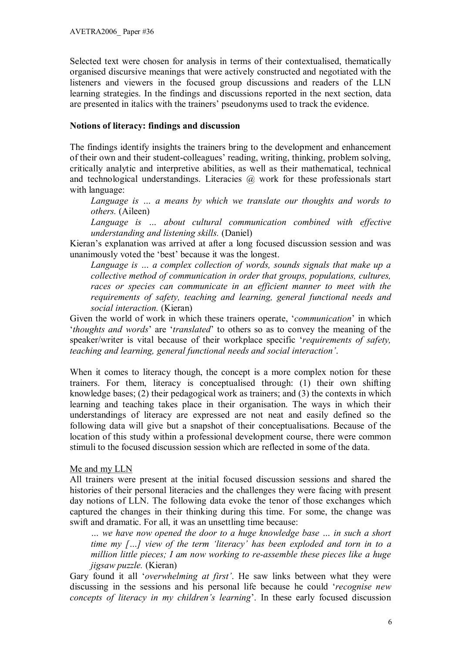Selected text were chosen for analysis in terms of their contextualised, thematically organised discursive meanings that were actively constructed and negotiated with the listeners and viewers in the focused group discussions and readers of the LLN learning strategies. In the findings and discussions reported in the next section, data are presented in italics with the trainers' pseudonyms used to track the evidence.

#### **Notions of literacy: findings and discussion**

The findings identify insights the trainers bring to the development and enhancement of their own and their student-colleagues' reading, writing, thinking, problem solving, critically analytic and interpretive abilities, as well as their mathematical, technical and technological understandings. Literacies @ work for these professionals start with language:

*Language is … a means by which we translate our thoughts and words to others.* (Aileen)

*Language is … about cultural communication combined with effective understanding and listening skills.* (Daniel)

Kieran's explanation was arrived at after a long focused discussion session and was unanimously voted the 'best' because it was the longest.

*Language is … a complex collection of words, sounds signals that make up a collective method of communication in order that groups, populations, cultures, races or species can communicate in an efficient manner to meet with the requirements of safety, teaching and learning, general functional needs and social interaction.* (Kieran)

Given the world of work in which these trainers operate, '*communication*' in which '*thoughts and words*' are '*translated*' to others so as to convey the meaning of the speaker/writer is vital because of their workplace specific '*requirements of safety, teaching and learning, general functional needs and social interaction'*.

When it comes to literacy though, the concept is a more complex notion for these trainers. For them, literacy is conceptualised through: (1) their own shifting knowledge bases; (2) their pedagogical work as trainers; and (3) the contexts in which learning and teaching takes place in their organisation. The ways in which their understandings of literacy are expressed are not neat and easily defined so the following data will give but a snapshot of their conceptualisations. Because of the location of this study within a professional development course, there were common stimuli to the focused discussion session which are reflected in some of the data.

#### Me and my LLN

All trainers were present at the initial focused discussion sessions and shared the histories of their personal literacies and the challenges they were facing with present day notions of LLN. The following data evoke the tenor of those exchanges which captured the changes in their thinking during this time. For some, the change was swift and dramatic. For all, it was an unsettling time because:

*… we have now opened the door to a huge knowledge base … in such a short time my […] view of the term 'literacy' has been exploded and torn in to a million little pieces; I am now working to re-assemble these pieces like a huge jigsaw puzzle.* (Kieran)

Gary found it all '*overwhelming at first'*. He saw links between what they were discussing in the sessions and his personal life because he could '*recognise new concepts of literacy in my children's learning*'. In these early focused discussion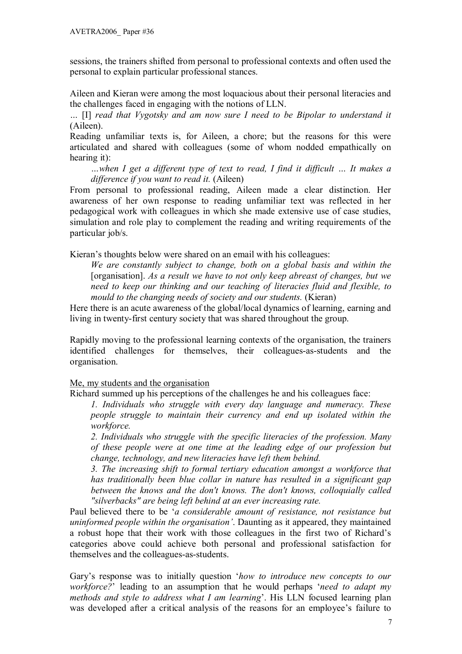sessions, the trainers shifted from personal to professional contexts and often used the personal to explain particular professional stances.

Aileen and Kieran were among the most loquacious about their personal literacies and the challenges faced in engaging with the notions of LLN.

*…* [I] *read that Vygotsky and am now sure I need to be Bipolar to understand it* (Aileen).

Reading unfamiliar texts is, for Aileen, a chore; but the reasons for this were articulated and shared with colleagues (some of whom nodded empathically on hearing it):

*…when I get a different type of text to read, I find it difficult … It makes a difference if you want to read it.* (Aileen)

From personal to professional reading, Aileen made a clear distinction. Her awareness of her own response to reading unfamiliar text was reflected in her pedagogical work with colleagues in which she made extensive use of case studies, simulation and role play to complement the reading and writing requirements of the particular job/s.

Kieran's thoughts below were shared on an email with his colleagues:

*We are constantly subject to change, both on a global basis and within the* [organisation]. *As a result we have to not only keep abreast of changes, but we need to keep our thinking and our teaching of literacies fluid and flexible, to mould to the changing needs of society and our students.* (Kieran)

Here there is an acute awareness of the global/local dynamics of learning, earning and living in twenty-first century society that was shared throughout the group.

Rapidly moving to the professional learning contexts of the organisation, the trainers identified challenges for themselves, their colleagues-as-students and the organisation.

#### Me, my students and the organisation

Richard summed up his perceptions of the challenges he and his colleagues face:

*1. Individuals who struggle with every day language and numeracy. These people struggle to maintain their currency and end up isolated within the workforce.*

*2. Individuals who struggle with the specific literacies of the profession. Many of these people were at one time at the leading edge of our profession but change, technology, and new literacies have left them behind.*

*3. The increasing shift to formal tertiary education amongst a workforce that has traditionally been blue collar in nature has resulted in a significant gap between the knows and the don't knows. The don't knows, colloquially called "silverbacks" are being left behind at an ever increasing rate.*

Paul believed there to be '*a considerable amount of resistance, not resistance but uninformed people within the organisation'*. Daunting as it appeared, they maintained a robust hope that their work with those colleagues in the first two of Richard's categories above could achieve both personal and professional satisfaction for themselves and the colleagues-as-students.

Gary's response was to initially question '*how to introduce new concepts to our workforce?*' leading to an assumption that he would perhaps '*need to adapt my methods and style to address what I am learning*'. His LLN focused learning plan was developed after a critical analysis of the reasons for an employee's failure to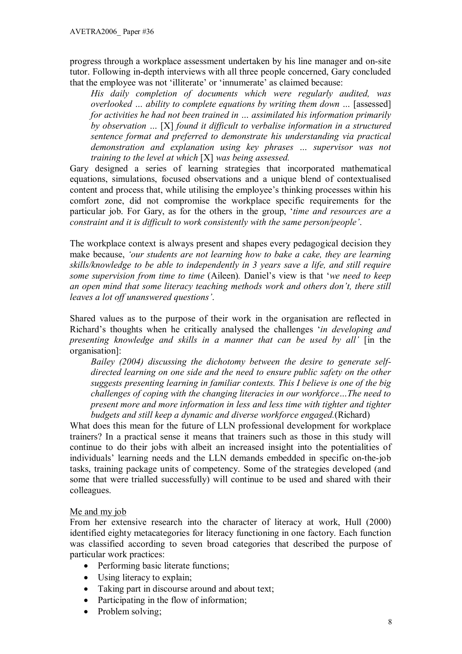progress through a workplace assessment undertaken by his line manager and on-site tutor. Following in-depth interviews with all three people concerned, Gary concluded that the employee was not 'illiterate' or 'innumerate' as claimed because:

*His daily completion of documents which were regularly audited, was overlooked … ability to complete equations by writing them down …* [assessed] *for activities he had not been trained in … assimilated his information primarily by observation …* [X] *found it difficult to verbalise information in a structured sentence format and preferred to demonstrate his understanding via practical demonstration and explanation using key phrases … supervisor was not training to the level at which* [X] *was being assessed.*

Gary designed a series of learning strategies that incorporated mathematical equations, simulations, focused observations and a unique blend of contextualised content and process that, while utilising the employee's thinking processes within his comfort zone, did not compromise the workplace specific requirements for the particular job. For Gary, as for the others in the group, '*time and resources are a constraint and it is difficult to work consistently with the same person/people'*.

The workplace context is always present and shapes every pedagogical decision they make because, *'our students are not learning how to bake a cake, they are learning skills/knowledge to be able to independently in 3 years save a life, and still require some supervision from time to time* (Aileen)*.* Daniel's view is that '*we need to keep an open mind that some literacy teaching methods work and others don't, there still leaves a lot off unanswered questions'*.

Shared values as to the purpose of their work in the organisation are reflected in Richard's thoughts when he critically analysed the challenges '*in developing and presenting knowledge and skills in a manner that can be used by all'* [in the organisation]:

*Bailey (2004) discussing the dichotomy between the desire to generate self directed learning on one side and the need to ensure public safety on the other suggests presenting learning in familiar contexts. This I believe is one of the big challenges of coping with the changing literacies in our workforce…The need to present more and more information in less and less time with tighter and tighter budgets and still keep a dynamic and diverse workforce engaged.*(Richard)

What does this mean for the future of LLN professional development for workplace trainers? In a practical sense it means that trainers such as those in this study will continue to do their jobs with albeit an increased insight into the potentialities of individuals' learning needs and the LLN demands embedded in specific on-the-job tasks, training package units of competency. Some of the strategies developed (and some that were trialled successfully) will continue to be used and shared with their colleagues.

## Me and my job

From her extensive research into the character of literacy at work, Hull (2000) identified eighty metacategories for literacy functioning in one factory. Each function was classified according to seven broad categories that described the purpose of particular work practices:

- Performing basic literate functions;
- Using literacy to explain;
- Taking part in discourse around and about text;
- Participating in the flow of information;
- Problem solving;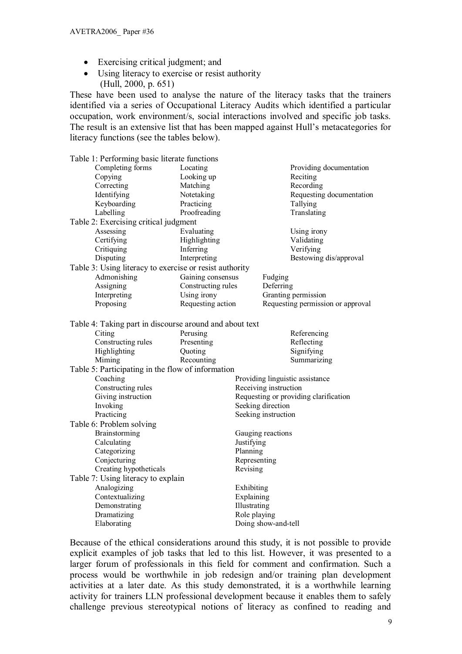- Exercising critical judgment; and
- Using literacy to exercise or resist authority (Hull, 2000, p. 651)

These have been used to analyse the nature of the literacy tasks that the trainers identified via a series of Occupational Literacy Audits which identified a particular occupation, work environment/s, social interactions involved and specific job tasks. The result is an extensive list that has been mapped against Hull's metacategories for literacy functions (see the tables below).

| Table 1: Performing basic literate functions            |                    |                       |                                       |  |
|---------------------------------------------------------|--------------------|-----------------------|---------------------------------------|--|
| Completing forms                                        | Locating           |                       | Providing documentation               |  |
| Copying                                                 | Looking up         |                       | Reciting                              |  |
| Correcting                                              | Matching           |                       | Recording                             |  |
| Identifying                                             | Notetaking         |                       | Requesting documentation              |  |
| Keyboarding                                             | Practicing         |                       | Tallying                              |  |
| Labelling                                               | Proofreading       |                       | Translating                           |  |
| Table 2: Exercising critical judgment                   |                    |                       |                                       |  |
| Assessing                                               | Evaluating         |                       | Using irony                           |  |
| Certifying                                              | Highlighting       |                       | Validating                            |  |
| Critiquing                                              | Inferring          |                       | Verifying                             |  |
| Disputing                                               | Interpreting       |                       | Bestowing dis/approval                |  |
| Table 3: Using literacy to exercise or resist authority |                    |                       |                                       |  |
| Admonishing                                             | Gaining consensus  |                       | Fudging                               |  |
| Assigning                                               | Constructing rules |                       | Deferring                             |  |
| Interpreting                                            | Using irony        |                       | Granting permission                   |  |
| Proposing                                               | Requesting action  |                       | Requesting permission or approval     |  |
|                                                         |                    |                       |                                       |  |
| Table 4: Taking part in discourse around and about text |                    |                       |                                       |  |
| Citing                                                  | Perusing           |                       | Referencing                           |  |
| Constructing rules                                      | Presenting         |                       | Reflecting                            |  |
| Highlighting                                            | Quoting            |                       | Signifying                            |  |
| Miming                                                  | Recounting         |                       | Summarizing                           |  |
| Table 5: Participating in the flow of information       |                    |                       |                                       |  |
| Coaching                                                |                    |                       | Providing linguistic assistance       |  |
| Constructing rules                                      |                    | Receiving instruction |                                       |  |
| Giving instruction                                      |                    |                       | Requesting or providing clarification |  |
| Invoking                                                |                    |                       | Seeking direction                     |  |
| Practicing                                              |                    |                       | Seeking instruction                   |  |
| Table 6: Problem solving                                |                    |                       |                                       |  |
| Brainstorming                                           |                    |                       | Gauging reactions                     |  |
| Calculating                                             |                    |                       | Justifying                            |  |
| Categorizing                                            |                    | Planning              |                                       |  |
| Conjecturing                                            |                    | Representing          |                                       |  |
| Creating hypotheticals                                  |                    | Revising              |                                       |  |
| Table 7: Using literacy to explain                      |                    |                       |                                       |  |
| Analogizing                                             |                    | Exhibiting            |                                       |  |
| Contextualizing                                         |                    | Explaining            |                                       |  |
| Demonstrating                                           |                    | Illustrating          |                                       |  |
| Dramatizing                                             |                    | Role playing          |                                       |  |
| Elaborating                                             |                    |                       | Doing show-and-tell                   |  |

Because of the ethical considerations around this study, it is not possible to provide explicit examples of job tasks that led to this list. However, it was presented to a larger forum of professionals in this field for comment and confirmation. Such a process would be worthwhile in job redesign and/or training plan development activities at a later date. As this study demonstrated, it is a worthwhile learning activity for trainers LLN professional development because it enables them to safely challenge previous stereotypical notions of literacy as confined to reading and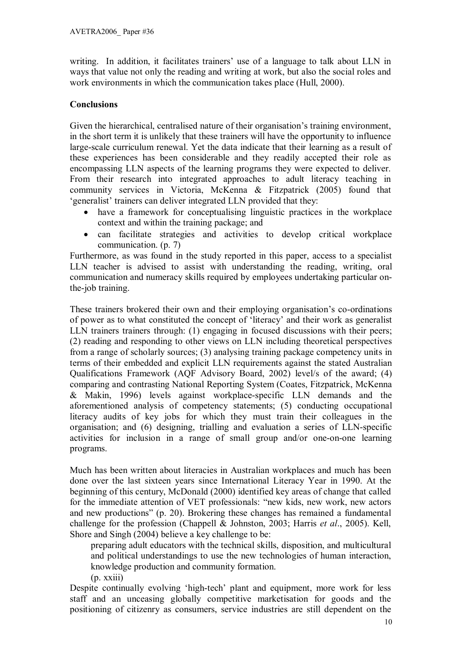writing. In addition, it facilitates trainers' use of a language to talk about LLN in ways that value not only the reading and writing at work, but also the social roles and work environments in which the communication takes place (Hull, 2000).

## **Conclusions**

Given the hierarchical, centralised nature of their organisation's training environment, in the short term it is unlikely that these trainers will have the opportunity to influence large-scale curriculum renewal. Yet the data indicate that their learning as a result of these experiences has been considerable and they readily accepted their role as encompassing LLN aspects of the learning programs they were expected to deliver. From their research into integrated approaches to adult literacy teaching in community services in Victoria, McKenna & Fitzpatrick (2005) found that 'generalist' trainers can deliver integrated LLN provided that they:

- have a framework for conceptualising linguistic practices in the workplace context and within the training package; and
- can facilitate strategies and activities to develop critical workplace communication. (p. 7)

Furthermore, as was found in the study reported in this paper, access to a specialist LLN teacher is advised to assist with understanding the reading, writing, oral communication and numeracy skills required by employees undertaking particular onthe-job training.

These trainers brokered their own and their employing organisation's co-ordinations of power as to what constituted the concept of 'literacy' and their work as generalist LLN trainers trainers through: (1) engaging in focused discussions with their peers; (2) reading and responding to other views on LLN including theoretical perspectives from a range of scholarly sources; (3) analysing training package competency units in terms of their embedded and explicit LLN requirements against the stated Australian Qualifications Framework (AQF Advisory Board, 2002) level/s of the award; (4) comparing and contrasting National Reporting System (Coates, Fitzpatrick, McKenna & Makin, 1996) levels against workplacespecific LLN demands and the aforementioned analysis of competency statements; (5) conducting occupational literacy audits of key jobs for which they must train their colleagues in the organisation; and  $(6)$  designing, trialling and evaluation a series of LLN-specific activities for inclusion in a range of small group and/or one-on-one learning programs.

Much has been written about literacies in Australian workplaces and much has been done over the last sixteen years since International Literacy Year in 1990. At the beginning of this century, McDonald (2000) identified key areas of change that called for the immediate attention of VET professionals: "new kids, new work, new actors and new productions" (p. 20). Brokering these changes has remained a fundamental challenge for the profession (Chappell & Johnston, 2003; Harris *et al*., 2005). Kell, Shore and Singh (2004) believe a key challenge to be:

preparing adult educators with the technical skills, disposition, and multicultural and political understandings to use the new technologies of human interaction, knowledge production and community formation.

 $(p. xxiii)$ 

Despite continually evolving 'high-tech' plant and equipment, more work for less staff and an unceasing globally competitive marketisation for goods and the positioning of citizenry as consumers, service industries are still dependent on the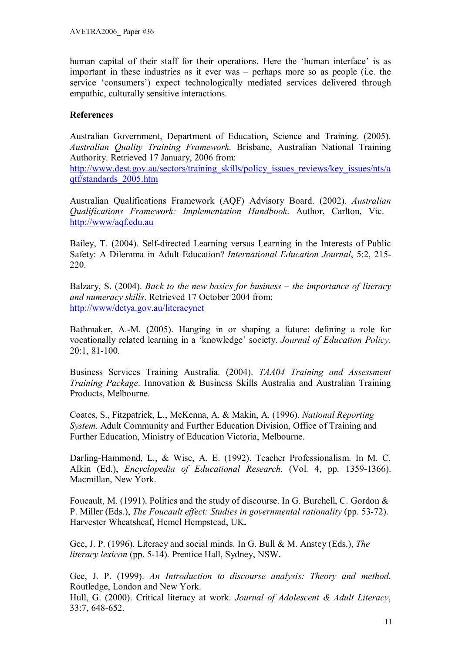human capital of their staff for their operations. Here the 'human interface' is as important in these industries as it ever was – perhaps more so as people (i.e. the service 'consumers') expect technologically mediated services delivered through empathic, culturally sensitive interactions.

## **References**

Australian Government, Department of Education, Science and Training. (2005). *Australian Quality Training Framework*. Brisbane, Australian National Training Authority. Retrieved 17 January, 2006 from:

http://www.dest.gov.au/sectors/training\_skills/policy\_issues\_reviews/key\_issues/nts/a qtf/standards\_2005.htm

Australian Qualifications Framework (AQF) Advisory Board. (2002). *Australian Qualifications Framework: Implementation Handbook*. Author, Carlton, Vic. <http://www/aqf.edu.au>

Bailey, T. (2004). Self-directed Learning versus Learning in the Interests of Public Safety: A Dilemma in Adult Education? *International Education Journal*, 5:2, 215 220.

Balzary, S. (2004). *Back to the new basics for business – the importance of literacy and numeracy skills*. Retrieved 17 October 2004 from: <http://www/detya.gov.au/literacynet>

Bathmaker, A.-M. (2005). Hanging in or shaping a future: defining a role for vocationally related learning in a 'knowledge' society. *Journal of Education Policy*.  $20:1, 81-100.$ 

Business Services Training Australia. (2004). *TAA04 Training and Assessment Training Package*. Innovation & Business Skills Australia and Australian Training Products, Melbourne.

Coates, S., Fitzpatrick, L., McKenna, A. & Makin, A. (1996). *National Reporting System*. Adult Community and Further Education Division, Office of Training and Further Education, Ministry of Education Victoria, Melbourne.

Darling-Hammond, L., & Wise, A. E. (1992). Teacher Professionalism. In M. C. Alkin (Ed.), *Encyclopedia of Educational Research.* (Vol. 4, pp. 1359-1366). Macmillan, New York.

Foucault, M. (1991). Politics and the study of discourse. In G. Burchell, C. Gordon & P. Miller (Eds.), *The Foucault effect: Studies in governmental rationality* (pp. 53-72). Harvester Wheatsheaf, Hemel Hempstead, UK**.**

Gee, J. P. (1996). Literacy and social minds. In G. Bull & M. Anstey (Eds.), *The literacy lexicon* (pp. 514). Prentice Hall, Sydney, NSW**.**

Gee, J. P. (1999). *An Introduction to discourse analysis: Theory and method*. Routledge, London and New York.

Hull, G. (2000). Critical literacy at work. *Journal of Adolescent & Adult Literacy*, 33:7, 648-652.